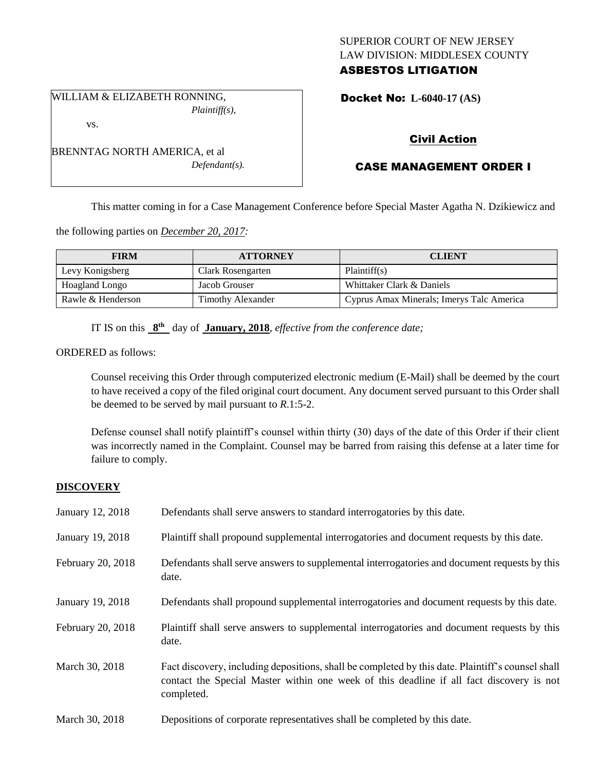# SUPERIOR COURT OF NEW JERSEY LAW DIVISION: MIDDLESEX COUNTY ASBESTOS LITIGATION

WILLIAM & ELIZABETH RONNING, *Plaintiff(s),* Docket No: **L-6040-17 (AS)** 

vs.

BRENNTAG NORTH AMERICA, et al *Defendant(s).*

# Civil Action

# CASE MANAGEMENT ORDER I

This matter coming in for a Case Management Conference before Special Master Agatha N. Dzikiewicz and

the following parties on *December 20, 2017:*

| <b>FIRM</b>       | <b>ATTORNEY</b>          | <b>CLIENT</b>                             |
|-------------------|--------------------------|-------------------------------------------|
| Levy Konigsberg   | Clark Rosengarten        | Plaintiff(s)                              |
| Hoagland Longo    | Jacob Grouser            | Whittaker Clark & Daniels                 |
| Rawle & Henderson | <b>Timothy Alexander</b> | Cyprus Amax Minerals; Imerys Talc America |

IT IS on this  $8^{th}$  day of **January, 2018**, *effective from the conference date*;

ORDERED as follows:

Counsel receiving this Order through computerized electronic medium (E-Mail) shall be deemed by the court to have received a copy of the filed original court document. Any document served pursuant to this Order shall be deemed to be served by mail pursuant to *R*.1:5-2.

Defense counsel shall notify plaintiff's counsel within thirty (30) days of the date of this Order if their client was incorrectly named in the Complaint. Counsel may be barred from raising this defense at a later time for failure to comply.

# **DISCOVERY**

| January 12, 2018  | Defendants shall serve answers to standard interrogatories by this date.                                                                                                                                    |
|-------------------|-------------------------------------------------------------------------------------------------------------------------------------------------------------------------------------------------------------|
| January 19, 2018  | Plaintiff shall propound supplemental interrogatories and document requests by this date.                                                                                                                   |
| February 20, 2018 | Defendants shall serve answers to supplemental interrogatories and document requests by this<br>date.                                                                                                       |
| January 19, 2018  | Defendants shall propound supplemental interrogatories and document requests by this date.                                                                                                                  |
| February 20, 2018 | Plaintiff shall serve answers to supplemental interrogatories and document requests by this<br>date.                                                                                                        |
| March 30, 2018    | Fact discovery, including depositions, shall be completed by this date. Plaintiff's counsel shall<br>contact the Special Master within one week of this deadline if all fact discovery is not<br>completed. |
| March 30, 2018    | Depositions of corporate representatives shall be completed by this date.                                                                                                                                   |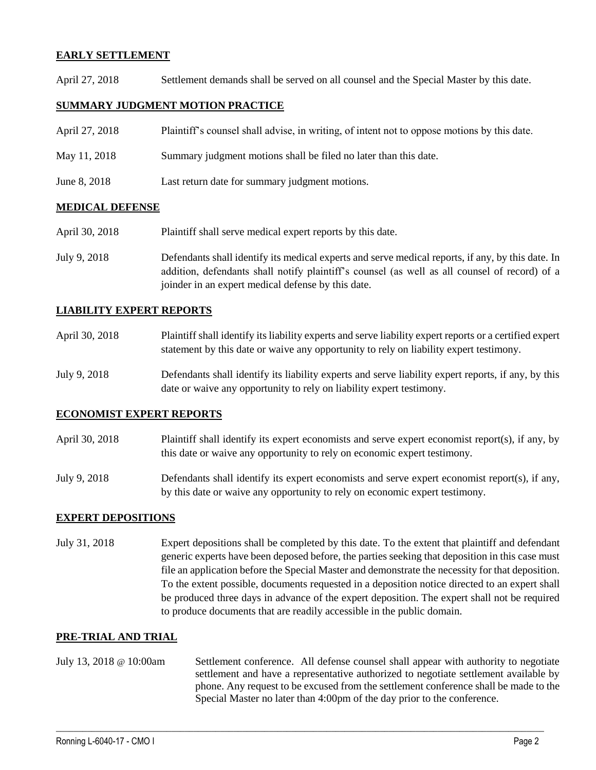## **EARLY SETTLEMENT**

April 27, 2018 Settlement demands shall be served on all counsel and the Special Master by this date.

## **SUMMARY JUDGMENT MOTION PRACTICE**

| April 27, 2018 | Plaintiff's counsel shall advise, in writing, of intent not to oppose motions by this date. |
|----------------|---------------------------------------------------------------------------------------------|
| May 11, 2018   | Summary judgment motions shall be filed no later than this date.                            |
| June 8, 2018   | Last return date for summary judgment motions.                                              |

#### **MEDICAL DEFENSE**

- April 30, 2018 Plaintiff shall serve medical expert reports by this date.
- July 9, 2018 Defendants shall identify its medical experts and serve medical reports, if any, by this date. In addition, defendants shall notify plaintiff's counsel (as well as all counsel of record) of a joinder in an expert medical defense by this date.

#### **LIABILITY EXPERT REPORTS**

| April 30, 2018 | Plaintiff shall identify its liability experts and serve liability expert reports or a certified expert |
|----------------|---------------------------------------------------------------------------------------------------------|
|                | statement by this date or waive any opportunity to rely on liability expert testimony.                  |

July 9, 2018 Defendants shall identify its liability experts and serve liability expert reports, if any, by this date or waive any opportunity to rely on liability expert testimony.

#### **ECONOMIST EXPERT REPORTS**

- April 30, 2018 Plaintiff shall identify its expert economists and serve expert economist report(s), if any, by this date or waive any opportunity to rely on economic expert testimony.
- July 9, 2018 Defendants shall identify its expert economists and serve expert economist report(s), if any, by this date or waive any opportunity to rely on economic expert testimony.

#### **EXPERT DEPOSITIONS**

July 31, 2018 Expert depositions shall be completed by this date. To the extent that plaintiff and defendant generic experts have been deposed before, the parties seeking that deposition in this case must file an application before the Special Master and demonstrate the necessity for that deposition. To the extent possible, documents requested in a deposition notice directed to an expert shall be produced three days in advance of the expert deposition. The expert shall not be required to produce documents that are readily accessible in the public domain.

#### **PRE-TRIAL AND TRIAL**

July 13, 2018 @ 10:00am Settlement conference. All defense counsel shall appear with authority to negotiate settlement and have a representative authorized to negotiate settlement available by phone. Any request to be excused from the settlement conference shall be made to the Special Master no later than 4:00pm of the day prior to the conference.

 $\_$  ,  $\_$  ,  $\_$  ,  $\_$  ,  $\_$  ,  $\_$  ,  $\_$  ,  $\_$  ,  $\_$  ,  $\_$  ,  $\_$  ,  $\_$  ,  $\_$  ,  $\_$  ,  $\_$  ,  $\_$  ,  $\_$  ,  $\_$  ,  $\_$  ,  $\_$  ,  $\_$  ,  $\_$  ,  $\_$  ,  $\_$  ,  $\_$  ,  $\_$  ,  $\_$  ,  $\_$  ,  $\_$  ,  $\_$  ,  $\_$  ,  $\_$  ,  $\_$  ,  $\_$  ,  $\_$  ,  $\_$  ,  $\_$  ,